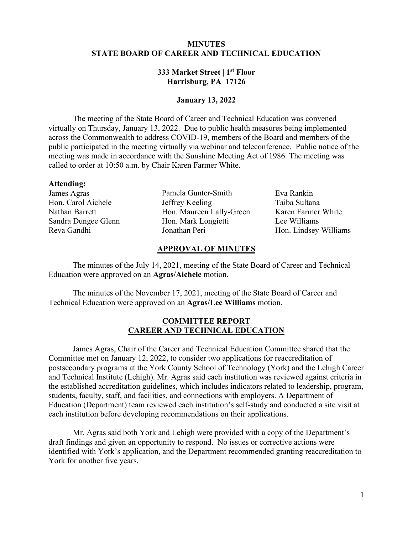## **MINUTES STATE BOARD OF CAREER AND TECHNICAL EDUCATION**

## **333 Market Street | 1st Floor Harrisburg, PA 17126**

#### **January 13, 2022**

The meeting of the State Board of Career and Technical Education was convened virtually on Thursday, January 13, 2022. Due to public health measures being implemented across the Commonwealth to address COVID-19, members of the Board and members of the public participated in the meeting virtually via webinar and teleconference. Public notice of the meeting was made in accordance with the Sunshine Meeting Act of 1986. The meeting was called to order at 10:50 a.m. by Chair Karen Farmer White.

#### **Attending:**

James Agras Hon. Carol Aichele Nathan Barrett Sandra Dungee Glenn Reva Gandhi

Pamela Gunter-Smith Jeffrey Keeling Hon. Maureen Lally-Green Hon. Mark Longietti Jonathan Peri

Eva Rankin Taiba Sultana Karen Farmer White Lee Williams Hon. Lindsey Williams

#### **APPROVAL OF MINUTES**

The minutes of the July 14, 2021, meeting of the State Board of Career and Technical Education were approved on an **Agras/Aichele** motion.

The minutes of the November 17, 2021, meeting of the State Board of Career and Technical Education were approved on an **Agras/Lee Williams** motion.

### **COMMITTEE REPORT CAREER AND TECHNICAL EDUCATION**

James Agras, Chair of the Career and Technical Education Committee shared that the Committee met on January 12, 2022, to consider two applications for reaccreditation of postsecondary programs at the York County School of Technology (York) and the Lehigh Career and Technical Institute (Lehigh). Mr. Agras said each institution was reviewed against criteria in the established accreditation guidelines, which includes indicators related to leadership, program, students, faculty, staff, and facilities, and connections with employers. A Department of Education (Department) team reviewed each institution's self-study and conducted a site visit at each institution before developing recommendations on their applications.

Mr. Agras said both York and Lehigh were provided with a copy of the Department's draft findings and given an opportunity to respond. No issues or corrective actions were identified with York's application, and the Department recommended granting reaccreditation to York for another five years.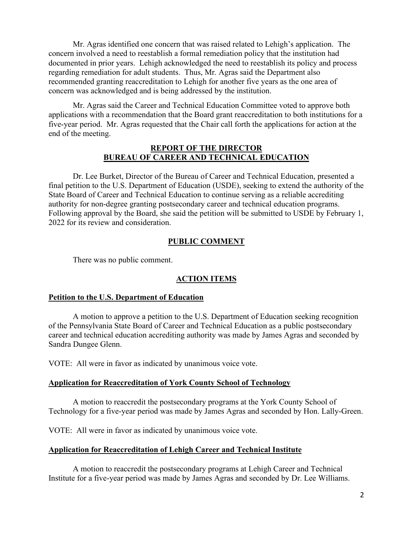Mr. Agras identified one concern that was raised related to Lehigh's application. The concern involved a need to reestablish a formal remediation policy that the institution had documented in prior years. Lehigh acknowledged the need to reestablish its policy and process regarding remediation for adult students. Thus, Mr. Agras said the Department also recommended granting reaccreditation to Lehigh for another five years as the one area of concern was acknowledged and is being addressed by the institution.

Mr. Agras said the Career and Technical Education Committee voted to approve both applications with a recommendation that the Board grant reaccreditation to both institutions for a five-year period. Mr. Agras requested that the Chair call forth the applications for action at the end of the meeting.

## **REPORT OF THE DIRECTOR BUREAU OF CAREER AND TECHNICAL EDUCATION**

Dr. Lee Burket, Director of the Bureau of Career and Technical Education, presented a final petition to the U.S. Department of Education (USDE), seeking to extend the authority of the State Board of Career and Technical Education to continue serving as a reliable accrediting authority for non-degree granting postsecondary career and technical education programs. Following approval by the Board, she said the petition will be submitted to USDE by February 1, 2022 for its review and consideration.

## **PUBLIC COMMENT**

There was no public comment.

## **ACTION ITEMS**

## **Petition to the U.S. Department of Education**

A motion to approve a petition to the U.S. Department of Education seeking recognition of the Pennsylvania State Board of Career and Technical Education as a public postsecondary career and technical education accrediting authority was made by James Agras and seconded by Sandra Dungee Glenn.

VOTE: All were in favor as indicated by unanimous voice vote.

## **Application for Reaccreditation of York County School of Technology**

A motion to reaccredit the postsecondary programs at the York County School of Technology for a five-year period was made by James Agras and seconded by Hon. Lally-Green.

VOTE: All were in favor as indicated by unanimous voice vote.

## **Application for Reaccreditation of Lehigh Career and Technical Institute**

A motion to reaccredit the postsecondary programs at Lehigh Career and Technical Institute for a five-year period was made by James Agras and seconded by Dr. Lee Williams.